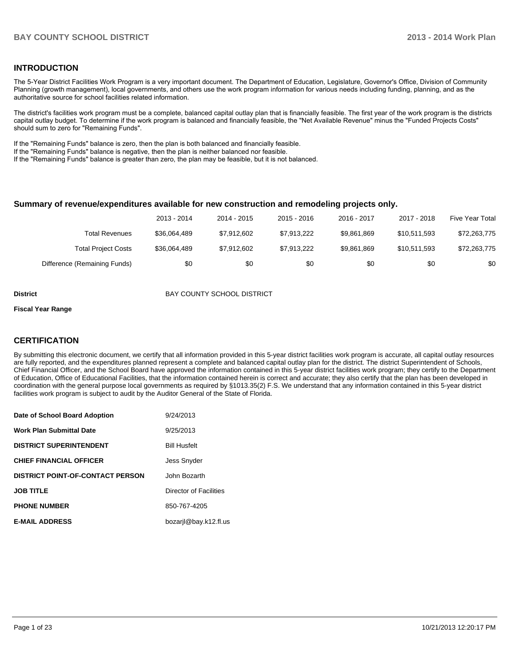#### **INTRODUCTION**

The 5-Year District Facilities Work Program is a very important document. The Department of Education, Legislature, Governor's Office, Division of Community Planning (growth management), local governments, and others use the work program information for various needs including funding, planning, and as the authoritative source for school facilities related information.

The district's facilities work program must be a complete, balanced capital outlay plan that is financially feasible. The first year of the work program is the districts capital outlay budget. To determine if the work program is balanced and financially feasible, the "Net Available Revenue" minus the "Funded Projects Costs" should sum to zero for "Remaining Funds".

If the "Remaining Funds" balance is zero, then the plan is both balanced and financially feasible.

If the "Remaining Funds" balance is negative, then the plan is neither balanced nor feasible.

If the "Remaining Funds" balance is greater than zero, the plan may be feasible, but it is not balanced.

#### **Summary of revenue/expenditures available for new construction and remodeling projects only.**

|                              | 2013 - 2014  | 2014 - 2015 | $2015 - 2016$ | 2016 - 2017 | 2017 - 2018  | Five Year Total |
|------------------------------|--------------|-------------|---------------|-------------|--------------|-----------------|
| Total Revenues               | \$36,064,489 | \$7.912.602 | \$7.913.222   | \$9.861.869 | \$10.511.593 | \$72,263,775    |
| <b>Total Project Costs</b>   | \$36,064,489 | \$7.912.602 | \$7.913.222   | \$9.861.869 | \$10.511.593 | \$72,263,775    |
| Difference (Remaining Funds) | \$0          | \$0         | \$0           | \$0         | \$0          | \$0             |

**District District BAY COUNTY SCHOOL DISTRICT** 

#### **Fiscal Year Range**

#### **CERTIFICATION**

By submitting this electronic document, we certify that all information provided in this 5-year district facilities work program is accurate, all capital outlay resources are fully reported, and the expenditures planned represent a complete and balanced capital outlay plan for the district. The district Superintendent of Schools, Chief Financial Officer, and the School Board have approved the information contained in this 5-year district facilities work program; they certify to the Department of Education, Office of Educational Facilities, that the information contained herein is correct and accurate; they also certify that the plan has been developed in coordination with the general purpose local governments as required by §1013.35(2) F.S. We understand that any information contained in this 5-year district facilities work program is subject to audit by the Auditor General of the State of Florida.

| Date of School Board Adoption           | 9/24/2013              |
|-----------------------------------------|------------------------|
| <b>Work Plan Submittal Date</b>         | 9/25/2013              |
| <b>DISTRICT SUPERINTENDENT</b>          | <b>Bill Husfelt</b>    |
| <b>CHIEF FINANCIAL OFFICER</b>          | <b>Jess Snyder</b>     |
| <b>DISTRICT POINT-OF-CONTACT PERSON</b> | John Bozarth           |
| <b>JOB TITLE</b>                        | Director of Facilities |
| <b>PHONE NUMBER</b>                     | 850-767-4205           |
| <b>E-MAIL ADDRESS</b>                   | bozarjl@bay.k12.fl.us  |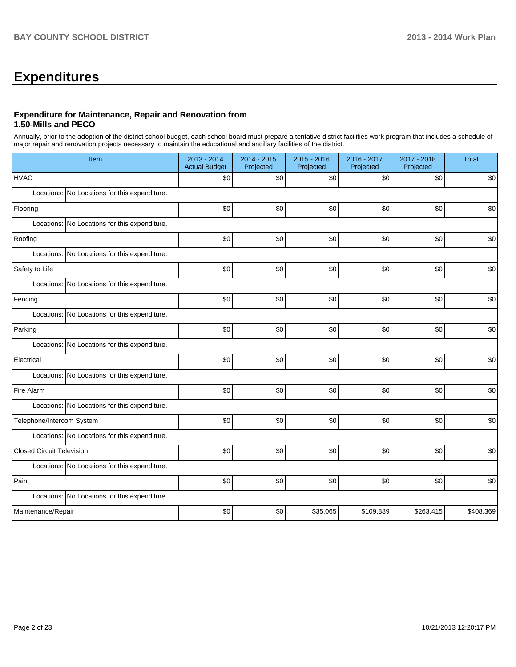# **Expenditures**

## **Expenditure for Maintenance, Repair and Renovation from 1.50-Mills and PECO**

Annually, prior to the adoption of the district school budget, each school board must prepare a tentative district facilities work program that includes a schedule of major repair and renovation projects necessary to maintain the educational and ancillary facilities of the district.

| Item                                          | 2013 - 2014<br><b>Actual Budget</b> | 2014 - 2015<br>Projected | 2015 - 2016<br>Projected | 2016 - 2017<br>Projected | 2017 - 2018<br>Projected | <b>Total</b> |
|-----------------------------------------------|-------------------------------------|--------------------------|--------------------------|--------------------------|--------------------------|--------------|
| <b>HVAC</b>                                   | \$0                                 | \$0                      | \$0                      | \$0                      | \$0                      | \$0          |
| Locations: No Locations for this expenditure. |                                     |                          |                          |                          |                          |              |
| Flooring                                      | \$0                                 | \$0                      | \$0                      | \$0                      | \$0                      | \$0          |
| Locations: No Locations for this expenditure. |                                     |                          |                          |                          |                          |              |
| Roofing                                       | \$0                                 | \$0                      | \$0                      | \$0                      | \$0                      | \$0          |
| Locations: No Locations for this expenditure. |                                     |                          |                          |                          |                          |              |
| Safety to Life                                | \$0                                 | \$0                      | \$0                      | \$0                      | \$0                      | \$0          |
| Locations: No Locations for this expenditure. |                                     |                          |                          |                          |                          |              |
| Fencing                                       | \$0                                 | \$0                      | \$0                      | \$0                      | \$0                      | \$0          |
| Locations: No Locations for this expenditure. |                                     |                          |                          |                          |                          |              |
| Parking                                       | \$0                                 | \$0                      | \$0                      | \$0                      | \$0                      | \$0          |
| Locations: No Locations for this expenditure. |                                     |                          |                          |                          |                          |              |
| Electrical                                    | \$0                                 | \$0                      | \$0                      | \$0                      | \$0                      | \$0          |
| Locations: No Locations for this expenditure. |                                     |                          |                          |                          |                          |              |
| Fire Alarm                                    | \$0                                 | \$0                      | \$0                      | \$0                      | \$0                      | \$0          |
| Locations: No Locations for this expenditure. |                                     |                          |                          |                          |                          |              |
| Telephone/Intercom System                     | \$0                                 | \$0                      | \$0                      | \$0                      | \$0                      | \$0          |
| Locations: No Locations for this expenditure. |                                     |                          |                          |                          |                          |              |
| <b>Closed Circuit Television</b>              | \$0                                 | \$0                      | \$0                      | \$0                      | \$0                      | \$0          |
| Locations: No Locations for this expenditure. |                                     |                          |                          |                          |                          |              |
| Paint                                         | \$0                                 | \$0                      | \$0                      | \$0                      | \$0                      | \$0          |
| Locations: No Locations for this expenditure. |                                     |                          |                          |                          |                          |              |
| Maintenance/Repair                            | \$0                                 | \$0                      | \$35,065                 | \$109,889                | \$263,415                | \$408,369    |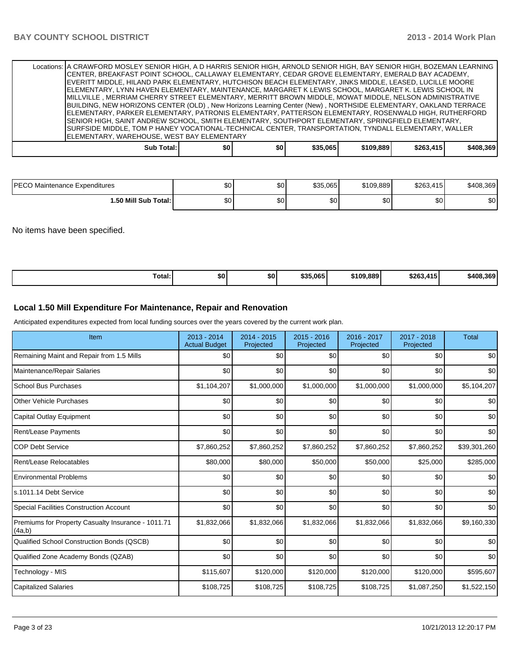| Locations: A CRAWFORD MOSLEY SENIOR HIGH, A D HARRIS SENIOR HIGH, ARNOLD SENIOR HIGH, BAY SENIOR HIGH, BOZEMAN LEARNING |     |     |          |           |           |           |
|-------------------------------------------------------------------------------------------------------------------------|-----|-----|----------|-----------|-----------|-----------|
| CENTER, BREAKFAST POINT SCHOOL, CALLAWAY ELEMENTARY, CEDAR GROVE ELEMENTARY, EMERALD BAY ACADEMY,                       |     |     |          |           |           |           |
| EVERITT MIDDLE, HILAND PARK ELEMENTARY, HUTCHISON BEACH ELEMENTARY, JINKS MIDDLE, LEASED, LUCILLE MOORE                 |     |     |          |           |           |           |
| ELEMENTARY, LYNN HAVEN ELEMENTARY, MAINTENANCE, MARGARET K LEWIS SCHOOL, MARGARET K. LEWIS SCHOOL IN                    |     |     |          |           |           |           |
| MILLVILLE , MERRIAM CHERRY STREET ELEMENTARY, MERRITT BROWN MIDDLE, MOWAT MIDDLE, NELSON ADMINISTRATIVE                 |     |     |          |           |           |           |
| BUILDING, NEW HORIZONS CENTER (OLD), New Horizons Learning Center (New), NORTHSIDE ELEMENTARY, OAKLAND TERRACE          |     |     |          |           |           |           |
| ELEMENTARY, PARKER ELEMENTARY, PATRONIS ELEMENTARY, PATTERSON ELEMENTARY, ROSENWALD HIGH, RUTHERFORD                    |     |     |          |           |           |           |
| SENIOR HIGH, SAINT ANDREW SCHOOL, SMITH ELEMENTARY, SOUTHPORT ELEMENTARY, SPRINGFIELD ELEMENTARY,                       |     |     |          |           |           |           |
| SURFSIDE MIDDLE, TOM P HANEY VOCATIONAL-TECHNICAL CENTER, TRANSPORTATION, TYNDALL ELEMENTARY, WALLER                    |     |     |          |           |           |           |
| ELEMENTARY, WAREHOUSE, WEST BAY ELEMENTARY                                                                              |     |     |          |           |           |           |
| Sub Total:                                                                                                              | \$0 | \$0 | \$35,065 | \$109,889 | \$263,415 | \$408,369 |

| <b>IPECO</b><br>) Maintenance Expenditures | ሖ<br>Ψ  | $\sim$<br>ມບ | \$35.065 | \$109.889 | \$263.415 | \$408.369 |
|--------------------------------------------|---------|--------------|----------|-----------|-----------|-----------|
| 1.50 Mill Sub Total:                       | ሖ<br>ΦU | $\sim$<br>w  | ሶሳ<br>ΦU | ሶስ<br>ושב | ሖ<br>ັບບ  | \$0       |

No items have been specified.

| \$35,065<br>\$263.415<br>\$109,889<br>\$408.369<br>\$0<br>Total:<br>50<br>. |
|-----------------------------------------------------------------------------|
|-----------------------------------------------------------------------------|

#### **Local 1.50 Mill Expenditure For Maintenance, Repair and Renovation**

Anticipated expenditures expected from local funding sources over the years covered by the current work plan.

| Item                                                         | 2013 - 2014<br><b>Actual Budget</b> | $2014 - 2015$<br>Projected | 2015 - 2016<br>Projected | 2016 - 2017<br>Projected | 2017 - 2018<br>Projected | <b>Total</b> |
|--------------------------------------------------------------|-------------------------------------|----------------------------|--------------------------|--------------------------|--------------------------|--------------|
| Remaining Maint and Repair from 1.5 Mills                    | \$0                                 | \$0                        | \$0                      | \$0                      | \$0                      | \$0          |
| Maintenance/Repair Salaries                                  | \$0                                 | \$0                        | \$0                      | \$0                      | \$0                      | \$0          |
| <b>School Bus Purchases</b>                                  | \$1,104,207                         | \$1,000,000                | \$1,000,000              | \$1,000,000              | \$1,000,000              | \$5,104,207  |
| <b>Other Vehicle Purchases</b>                               | \$0                                 | \$0                        | \$0                      | \$0                      | \$0                      | \$0          |
| Capital Outlay Equipment                                     | \$0                                 | \$0                        | \$0                      | \$0                      | \$0                      | \$0          |
| <b>Rent/Lease Payments</b>                                   | \$0                                 | \$0                        | \$0                      | \$0                      | \$0                      | \$0          |
| <b>COP Debt Service</b>                                      | \$7,860,252                         | \$7,860,252                | \$7,860,252              | \$7,860,252              | \$7,860,252              | \$39,301,260 |
| Rent/Lease Relocatables                                      | \$80,000                            | \$80,000                   | \$50,000                 | \$50,000                 | \$25,000                 | \$285,000    |
| <b>Environmental Problems</b>                                | \$0                                 | \$0                        | \$0                      | \$0                      | \$0                      | \$0          |
| s.1011.14 Debt Service                                       | \$0                                 | \$0                        | \$0                      | \$0                      | \$0                      | \$0          |
| <b>Special Facilities Construction Account</b>               | \$0                                 | \$0                        | \$0                      | \$0                      | \$0                      | \$0          |
| Premiums for Property Casualty Insurance - 1011.71<br>(4a,b) | \$1,832,066                         | \$1,832,066                | \$1,832,066              | \$1,832,066              | \$1,832,066              | \$9,160,330  |
| Qualified School Construction Bonds (QSCB)                   | \$0                                 | \$0                        | \$0                      | \$0                      | \$0                      | \$0          |
| Qualified Zone Academy Bonds (QZAB)                          | \$0                                 | \$0                        | \$0                      | \$0                      | \$0                      | \$0          |
| Technology - MIS                                             | \$115,607                           | \$120,000                  | \$120,000                | \$120,000                | \$120,000                | \$595,607    |
| <b>Capitalized Salaries</b>                                  | \$108,725                           | \$108,725                  | \$108,725                | \$108,725                | \$1,087,250              | \$1,522,150  |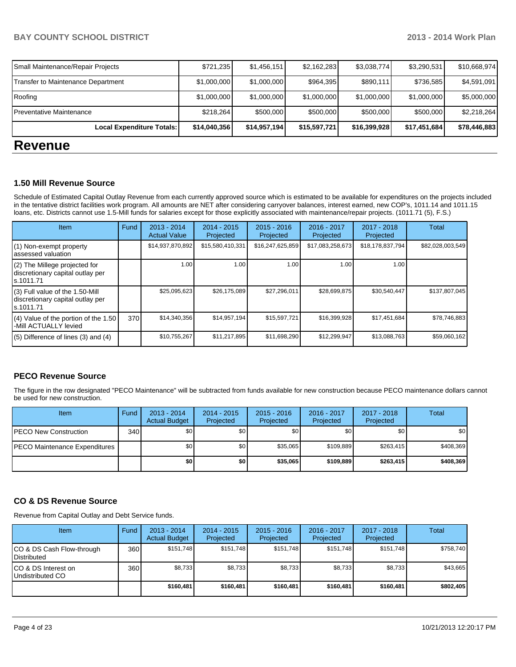| Local Expenditure Totals:          | \$14,040,356 | \$14,957,194 | \$15,597,721 | \$16,399,928 | \$17,451,684 | \$78,446,883 |
|------------------------------------|--------------|--------------|--------------|--------------|--------------|--------------|
| Preventative Maintenance           | \$218,264    | \$500,000    | \$500,000    | \$500,000    | \$500,000    | \$2,218,264  |
| Roofing                            | \$1,000,000  | \$1,000,000  | \$1,000,000  | \$1,000,000  | \$1,000,000  | \$5,000,000  |
| Transfer to Maintenance Department | \$1,000,000  | \$1,000,000  | \$964,395    | \$890,111    | \$736,585    | \$4,591,091  |
| Small Maintenance/Repair Projects  | \$721,235    | \$1,456,151  | \$2,162,283  | \$3,038,774  | \$3,290,531  | \$10,668,974 |

# **Revenue**

#### **1.50 Mill Revenue Source**

Schedule of Estimated Capital Outlay Revenue from each currently approved source which is estimated to be available for expenditures on the projects included in the tentative district facilities work program. All amounts are NET after considering carryover balances, interest earned, new COP's, 1011.14 and 1011.15 loans, etc. Districts cannot use 1.5-Mill funds for salaries except for those explicitly associated with maintenance/repair projects. (1011.71 (5), F.S.)

| <b>Item</b>                                                                       | Fund | $2013 - 2014$<br><b>Actual Value</b> | $2014 - 2015$<br>Projected | $2015 - 2016$<br>Projected | 2016 - 2017<br>Projected | 2017 - 2018<br>Projected | Total            |
|-----------------------------------------------------------------------------------|------|--------------------------------------|----------------------------|----------------------------|--------------------------|--------------------------|------------------|
| (1) Non-exempt property<br>assessed valuation                                     |      | \$14,937,870,892                     | \$15,580,410,331           | \$16,247,625,859           | \$17,083,258,673         | \$18,178,837,794         | \$82,028,003,549 |
| (2) The Millege projected for<br>discretionary capital outlay per<br>ls.1011.71   |      | 1.00                                 | 1.00                       | 1.00                       | 1.00                     | 1.00                     |                  |
| (3) Full value of the 1.50-Mill<br>discretionary capital outlay per<br>ls.1011.71 |      | \$25,095,623                         | \$26,175,089               | \$27,296,011               | \$28,699,875             | \$30,540,447             | \$137,807,045    |
| (4) Value of the portion of the 1.50<br>-Mill ACTUALLY levied                     | 370  | \$14,340,356                         | \$14,957,194               | \$15,597,721               | \$16,399,928             | \$17,451,684             | \$78,746,883     |
| $(5)$ Difference of lines $(3)$ and $(4)$                                         |      | \$10,755,267                         | \$11,217,895               | \$11,698,290               | \$12,299,947             | \$13,088,763             | \$59,060,162     |

## **PECO Revenue Source**

The figure in the row designated "PECO Maintenance" will be subtracted from funds available for new construction because PECO maintenance dollars cannot be used for new construction.

| <b>Item</b>                           | Fund | $2013 - 2014$<br><b>Actual Budget</b> | $2014 - 2015$<br>Projected | $2015 - 2016$<br>Projected | 2016 - 2017<br>Projected | 2017 - 2018<br>Projected | Total            |
|---------------------------------------|------|---------------------------------------|----------------------------|----------------------------|--------------------------|--------------------------|------------------|
| IPECO New Construction                | 340  | \$0                                   | \$0                        | \$0                        | \$0                      | \$0 <sub>1</sub>         | \$0 <sub>1</sub> |
| <b>IPECO Maintenance Expenditures</b> |      | \$0                                   | \$0 <sub>1</sub>           | \$35,065                   | \$109.889                | \$263,415                | \$408,369        |
|                                       |      | \$0                                   | \$0                        | \$35,065                   | \$109.889                | \$263.415                | \$408,369        |

## **CO & DS Revenue Source**

Revenue from Capital Outlay and Debt Service funds.

| Item                                               | Fund | 2013 - 2014<br><b>Actual Budget</b> | $2014 - 2015$<br>Projected | $2015 - 2016$<br>Projected | $2016 - 2017$<br>Projected | $2017 - 2018$<br>Projected | Total     |
|----------------------------------------------------|------|-------------------------------------|----------------------------|----------------------------|----------------------------|----------------------------|-----------|
| ICO & DS Cash Flow-through<br><b>I</b> Distributed | 360  | \$151.748                           | \$151.748                  | \$151.748                  | \$151.748                  | \$151.748                  | \$758.740 |
| ICO & DS Interest on<br>Undistributed CO           | 360  | \$8,733                             | \$8,733                    | \$8,733                    | \$8,733                    | \$8,733                    | \$43,665  |
|                                                    |      | \$160,481                           | \$160,481                  | \$160,481                  | \$160,481                  | \$160,481                  | \$802,405 |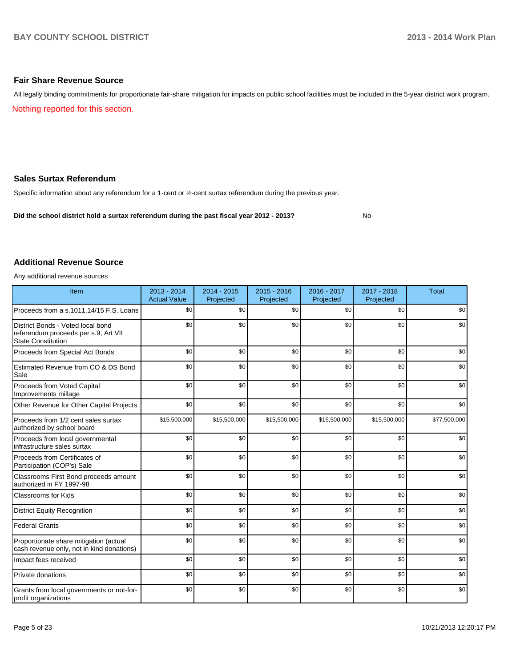#### **Fair Share Revenue Source**

Nothing reported for this section. All legally binding commitments for proportionate fair-share mitigation for impacts on public school facilities must be included in the 5-year district work program.

#### **Sales Surtax Referendum**

Specific information about any referendum for a 1-cent or ½-cent surtax referendum during the previous year.

**Did the school district hold a surtax referendum during the past fiscal year 2012 - 2013?**

No

## **Additional Revenue Source**

Any additional revenue sources

| Item                                                                                                   | 2013 - 2014<br><b>Actual Value</b> | $2014 - 2015$<br>Projected | $2015 - 2016$<br>Projected | 2016 - 2017<br>Projected | 2017 - 2018<br>Projected | <b>Total</b> |
|--------------------------------------------------------------------------------------------------------|------------------------------------|----------------------------|----------------------------|--------------------------|--------------------------|--------------|
| Proceeds from a s.1011.14/15 F.S. Loans                                                                | \$0                                | \$0                        | \$0                        | \$0                      | \$0                      | \$0          |
| District Bonds - Voted local bond<br>referendum proceeds per s.9, Art VII<br><b>State Constitution</b> | \$0                                | \$0                        | \$0                        | \$0                      | \$0                      | \$0          |
| Proceeds from Special Act Bonds                                                                        | \$0                                | \$0                        | \$0                        | \$0                      | \$0                      | \$0          |
| Estimated Revenue from CO & DS Bond<br>Sale                                                            | \$0                                | \$0                        | \$0                        | \$0                      | \$0                      | \$0          |
| Proceeds from Voted Capital<br>Improvements millage                                                    | \$0                                | \$0                        | \$0                        | \$0                      | \$0                      | \$0          |
| Other Revenue for Other Capital Projects                                                               | \$0                                | \$0                        | \$0                        | \$0                      | \$0                      | \$0          |
| Proceeds from 1/2 cent sales surtax<br>authorized by school board                                      | \$15,500,000                       | \$15,500,000               | \$15,500,000               | \$15,500,000             | \$15,500,000             | \$77,500,000 |
| Proceeds from local governmental<br>infrastructure sales surtax                                        | \$0                                | \$0                        | \$0                        | \$0                      | \$0                      | \$0          |
| Proceeds from Certificates of<br>Participation (COP's) Sale                                            | \$0                                | \$0                        | \$0                        | \$0                      | \$0                      | \$0          |
| Classrooms First Bond proceeds amount<br>authorized in FY 1997-98                                      | \$0                                | \$0                        | \$0                        | \$0                      | \$0                      | \$0          |
| <b>Classrooms for Kids</b>                                                                             | \$0                                | \$0                        | \$0                        | \$0                      | \$0                      | \$0          |
| <b>District Equity Recognition</b>                                                                     | \$0                                | \$0                        | \$0                        | \$0                      | \$0                      | \$0          |
| <b>Federal Grants</b>                                                                                  | \$0                                | \$0                        | \$0                        | \$0                      | \$0                      | \$0          |
| Proportionate share mitigation (actual<br>cash revenue only, not in kind donations)                    | \$0                                | \$0                        | \$0                        | \$0                      | \$0                      | \$0          |
| Impact fees received                                                                                   | \$0                                | \$0                        | \$0                        | \$0                      | \$0                      | \$0          |
| Private donations                                                                                      | \$0                                | \$0                        | \$0                        | \$0                      | \$0                      | \$0          |
| Grants from local governments or not-for-<br>profit organizations                                      | \$0                                | \$0                        | \$0                        | \$0                      | \$0                      | \$0          |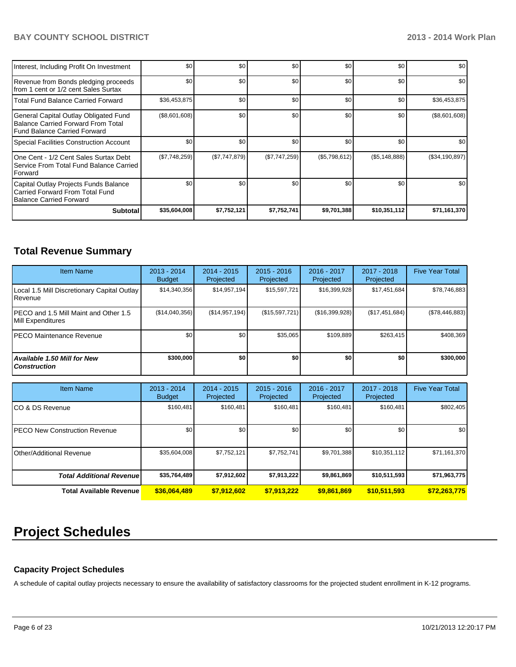| Interest, Including Profit On Investment                                                                      | \$0           | \$0           | \$0           | \$0          | \$0               | \$0            |
|---------------------------------------------------------------------------------------------------------------|---------------|---------------|---------------|--------------|-------------------|----------------|
| Revenue from Bonds pledging proceeds<br>Ifrom 1 cent or 1/2 cent Sales Surtax                                 | \$0           | \$0           | \$0           | \$0          | \$0               | \$0            |
| l Total Fund Balance Carried Forward                                                                          | \$36,453,875  | \$0           | \$0           | \$0          | \$0               | \$36,453,875   |
| General Capital Outlay Obligated Fund<br>Balance Carried Forward From Total<br>l Fund Balance Carried Forward | (\$8,601,608) | \$0           | \$0           | \$0          | \$0               | (\$8,601,608)  |
| Special Facilities Construction Account                                                                       | \$0           | \$0           | \$0           | \$0          | \$0               | \$0            |
| IOne Cent - 1/2 Cent Sales Surtax Debt<br>Service From Total Fund Balance Carried<br><b>IForward</b>          | (\$7,748,259) | (\$7,747,879) | (\$7,747,259) | (S5,798,612) | $(\$5, 148, 888)$ | (\$34,190,897) |
| Capital Outlay Projects Funds Balance<br>Carried Forward From Total Fund<br>Balance Carried Forward           | \$0           | \$0           | \$0           | \$0          | \$0               | \$0            |
| <b>Subtotal</b>                                                                                               | \$35,604,008  | \$7,752,121   | \$7,752,741   | \$9,701,388  | \$10,351,112      | \$71,161,370   |

# **Total Revenue Summary**

| <b>Item Name</b>                                            | $2013 - 2014$<br><b>Budget</b> | $2014 - 2015$<br>Projected | $2015 - 2016$<br>Projected | 2016 - 2017<br>Projected | $2017 - 2018$<br>Projected | <b>Five Year Total</b> |
|-------------------------------------------------------------|--------------------------------|----------------------------|----------------------------|--------------------------|----------------------------|------------------------|
| Local 1.5 Mill Discretionary Capital Outlay<br>l Revenue    | \$14,340,356                   | \$14,957,194               | \$15,597,721               | \$16,399,928             | \$17,451,684               | \$78,746,883           |
| IPECO and 1.5 Mill Maint and Other 1.5<br>Mill Expenditures | (\$14,040,356)                 | (S14, 957, 194)            | (\$15,597,721)             | (\$16,399,928)           | (\$17,451,684)             | (\$78,446,883)         |
| IPECO Maintenance Revenue                                   | \$0                            | \$0                        | \$35.065                   | \$109.889                | \$263.415                  | \$408,369              |
| Available 1.50 Mill for New<br>l Construction               | \$300,000                      | \$0                        | \$0                        | \$O                      | \$O I                      | \$300,000              |

| <b>Item Name</b>                      | 2013 - 2014<br><b>Budget</b> | $2014 - 2015$<br>Projected | $2015 - 2016$<br>Projected | $2016 - 2017$<br>Projected | $2017 - 2018$<br>Projected | <b>Five Year Total</b> |
|---------------------------------------|------------------------------|----------------------------|----------------------------|----------------------------|----------------------------|------------------------|
| ICO & DS Revenue                      | \$160.481                    | \$160,481                  | \$160.481                  | \$160,481                  | \$160,481                  | \$802,405              |
| <b>IPECO New Construction Revenue</b> | \$0 <sub>1</sub>             | \$0                        | \$0                        | \$0                        | \$0                        | \$0                    |
| IOther/Additional Revenue             | \$35,604,008                 | \$7,752,121                | \$7,752,741                | \$9,701,388                | \$10,351,112               | \$71,161,370           |
| <b>Total Additional Revenuel</b>      | \$35,764,489                 | \$7,912,602                | \$7,913,222                | \$9,861,869                | \$10,511,593               | \$71,963,775           |
| Total Available Revenue               | \$36,064,489                 | \$7,912,602                | \$7,913,222                | \$9,861,869                | \$10,511,593               | \$72,263,775           |

# **Project Schedules**

## **Capacity Project Schedules**

A schedule of capital outlay projects necessary to ensure the availability of satisfactory classrooms for the projected student enrollment in K-12 programs.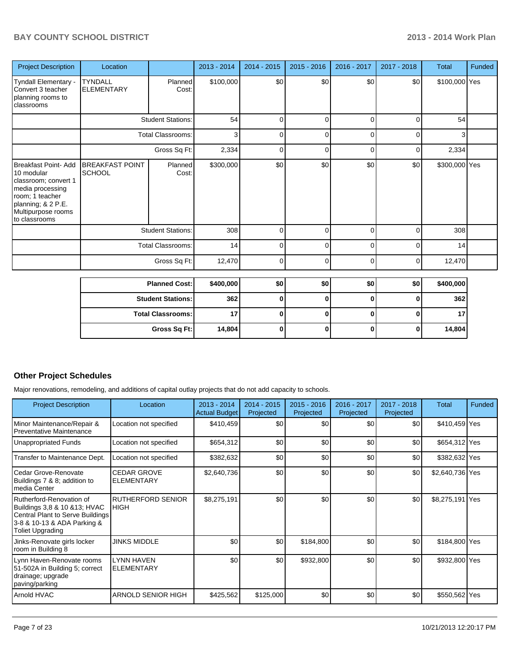| <b>Project Description</b>                                                                                                                                            | Location                                |                          | 2013 - 2014 | $2014 - 2015$ | $2015 - 2016$  | 2016 - 2017 | 2017 - 2018 | <b>Total</b>  | Funded |  |
|-----------------------------------------------------------------------------------------------------------------------------------------------------------------------|-----------------------------------------|--------------------------|-------------|---------------|----------------|-------------|-------------|---------------|--------|--|
| Tyndall Elementary -<br>Convert 3 teacher<br>planning rooms to<br>classrooms                                                                                          | <b>TYNDALL</b><br><b>ELEMENTARY</b>     | Planned<br>Cost:         | \$100,000   | \$0           | \$0            | \$0         | \$0         | \$100,000 Yes |        |  |
|                                                                                                                                                                       | <b>Student Stations:</b>                |                          | 54          | 0             | $\mathbf 0$    | 0           | 0           | 54            |        |  |
|                                                                                                                                                                       |                                         | <b>Total Classrooms:</b> | 3           | $\Omega$      | $\overline{0}$ | $\Omega$    | 0           | 3             |        |  |
|                                                                                                                                                                       | Gross Sq Ft:                            |                          | 2,334       | $\Omega$      | 0              | $\Omega$    | 0           | 2,334         |        |  |
| <b>Breakfast Point- Add</b><br>10 modular<br>classroom; convert 1<br>media processing<br>room; 1 teacher<br>planning; & 2 P.E.<br>Multipurpose rooms<br>to classrooms | <b>BREAKFAST POINT</b><br><b>SCHOOL</b> | Planned<br>Cost:         | \$300,000   | \$0           | \$0            | \$0         | \$0         | \$300,000 Yes |        |  |
|                                                                                                                                                                       |                                         | <b>Student Stations:</b> | 308         | $\Omega$      | $\Omega$       | $\Omega$    | 0           | 308           |        |  |
|                                                                                                                                                                       |                                         | <b>Total Classrooms:</b> | 14          | 0             | $\Omega$       | 0           | $\Omega$    | 14            |        |  |
|                                                                                                                                                                       |                                         | Gross Sq Ft:             | 12,470      | $\Omega$      | $\overline{0}$ | $\Omega$    | 0           | 12,470        |        |  |
|                                                                                                                                                                       |                                         | <b>Planned Cost:</b>     | \$400,000   | \$0           | \$0            | \$0         | \$0         | \$400,000     |        |  |
|                                                                                                                                                                       |                                         | <b>Student Stations:</b> | 362         | 0             | 0              | 0           | 0           | 362           |        |  |
|                                                                                                                                                                       |                                         | <b>Total Classrooms:</b> | 17          | $\bf{0}$      | 0              | 0           | 0           | 17            |        |  |
|                                                                                                                                                                       |                                         | Gross Sq Ft:             | 14,804      | 0             | 0              | 0           | 0           | 14,804        |        |  |

#### **Other Project Schedules**

Major renovations, remodeling, and additions of capital outlay projects that do not add capacity to schools.

| <b>Project Description</b>                                                                                                                              | Location                                | $2013 - 2014$<br>Actual Budget | $2014 - 2015$<br>Projected | $2015 - 2016$<br>Projected | $2016 - 2017$<br>Projected | $2017 - 2018$<br>Projected | <b>Total</b>    | Funded |
|---------------------------------------------------------------------------------------------------------------------------------------------------------|-----------------------------------------|--------------------------------|----------------------------|----------------------------|----------------------------|----------------------------|-----------------|--------|
| Minor Maintenance/Repair &<br>Preventative Maintenance                                                                                                  | Location not specified                  | \$410,459                      | \$0                        | \$0                        | \$0                        | \$0                        | \$410,459 Yes   |        |
| Unappropriated Funds                                                                                                                                    | Location not specified                  | \$654,312                      | \$0                        | \$0                        | \$0                        | \$0                        | \$654,312 Yes   |        |
| Transfer to Maintenance Dept.                                                                                                                           | Location not specified                  | \$382,632                      | \$0                        | \$0                        | \$0                        | \$0                        | \$382,632 Yes   |        |
| l Cedar Grove-Renovate<br>Buildings 7 & 8; addition to<br>Imedia Center                                                                                 | <b>CEDAR GROVE</b><br><b>ELEMENTARY</b> | \$2,640,736                    | \$0                        | \$0                        | \$0                        | \$0                        | \$2,640,736 Yes |        |
| Rutherford-Renovation of<br>Buildings 3,8 & 10 & 13; HVAC<br>Central Plant to Serve Buildings<br>3-8 & 10-13 & ADA Parking &<br><b>Toliet Upgrading</b> | <b>RUTHERFORD SENIOR</b><br><b>HIGH</b> | \$8,275,191                    | \$0                        | \$0                        | \$0                        | \$0                        | \$8,275,191 Yes |        |
| Jinks-Renovate girls locker<br>room in Building 8                                                                                                       | <b>JINKS MIDDLE</b>                     | \$0                            | \$0                        | \$184,800                  | \$0                        | \$0                        | \$184,800 Yes   |        |
| Lynn Haven-Renovate rooms<br>51-502A in Building 5; correct<br>drainage; upgrade<br>paving/parking                                                      | LYNN HAVEN<br><b>ELEMENTARY</b>         | \$0                            | \$0                        | \$932,800                  | \$0                        | \$0                        | \$932,800 Yes   |        |
| Arnold HVAC                                                                                                                                             | <b>ARNOLD SENIOR HIGH</b>               | \$425,562                      | \$125,000                  | \$0                        | \$0                        | \$0                        | \$550,562 Yes   |        |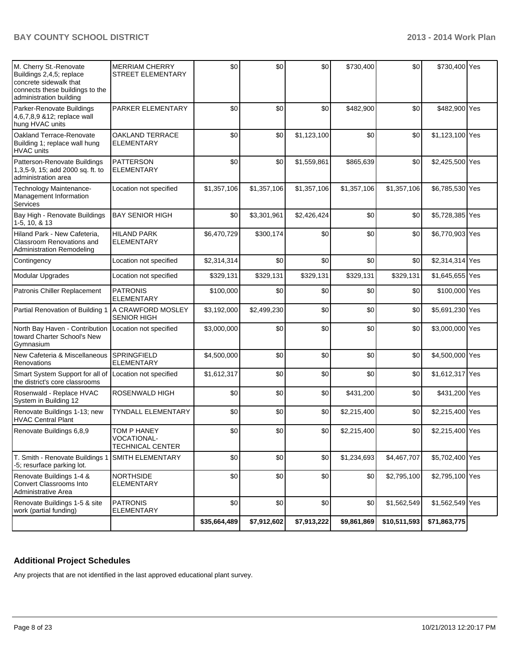| M. Cherry St.-Renovate<br>Buildings 2,4,5; replace<br>concrete sidewalk that<br>connects these buildings to the<br>administration building | <b>MERRIAM CHERRY</b><br><b>STREET ELEMENTARY</b>     | \$0          | \$0         | \$0         | \$730,400   | \$0          | \$730,400 Yes   |  |
|--------------------------------------------------------------------------------------------------------------------------------------------|-------------------------------------------------------|--------------|-------------|-------------|-------------|--------------|-----------------|--|
| Parker-Renovate Buildings<br>4,6,7,8,9 & 12; replace wall<br>hung HVAC units                                                               | PARKER ELEMENTARY                                     | \$0          | \$0         | \$0         | \$482,900   | \$0          | \$482,900 Yes   |  |
| Oakland Terrace-Renovate<br>Building 1; replace wall hung<br><b>HVAC</b> units                                                             | <b>OAKLAND TERRACE</b><br><b>ELEMENTARY</b>           | \$0          | \$0         | \$1,123,100 | \$0         | \$0          | \$1,123,100 Yes |  |
| Patterson-Renovate Buildings<br>1,3,5-9, 15; add 2000 sq. ft. to<br>administration area                                                    | <b>PATTERSON</b><br><b>ELEMENTARY</b>                 | \$0          | \$0         | \$1,559,861 | \$865,639   | \$0          | \$2,425,500 Yes |  |
| Technology Maintenance-<br>Management Information<br>Services                                                                              | Location not specified                                | \$1,357,106  | \$1,357,106 | \$1,357,106 | \$1,357,106 | \$1,357,106  | \$6,785,530 Yes |  |
| Bay High - Renovate Buildings<br>1-5, 10, & 13                                                                                             | <b>BAY SENIOR HIGH</b>                                | \$0          | \$3,301,961 | \$2,426,424 | \$0         | \$0          | \$5,728,385 Yes |  |
| Hiland Park - New Cafeteria,<br><b>Classroom Renovations and</b><br><b>Administration Remodeling</b>                                       | <b>HILAND PARK</b><br><b>ELEMENTARY</b>               | \$6,470,729  | \$300,174   | \$0         | \$0         | \$0          | \$6,770,903 Yes |  |
| Contingency                                                                                                                                | Location not specified                                | \$2,314,314  | \$0         | \$0         | \$0         | \$0          | \$2,314,314 Yes |  |
| Modular Upgrades                                                                                                                           | Location not specified                                | \$329,131    | \$329,131   | \$329,131   | \$329,131   | \$329,131    | \$1,645,655 Yes |  |
| Patronis Chiller Replacement                                                                                                               | <b>PATRONIS</b><br><b>ELEMENTARY</b>                  | \$100,000    | \$0         | \$0         | \$0         | \$0          | \$100,000 Yes   |  |
| Partial Renovation of Building 1                                                                                                           | A CRAWFORD MOSLEY<br><b>SENIOR HIGH</b>               | \$3,192,000  | \$2,499,230 | \$0         | \$0         | \$0          | \$5,691,230 Yes |  |
| North Bay Haven - Contribution   Location not specified<br>toward Charter School's New<br>Gymnasium                                        |                                                       | \$3,000,000  | \$0         | \$0         | \$0         | \$0          | \$3,000,000 Yes |  |
| New Cafeteria & Miscellaneous<br>Renovations                                                                                               | <b>SPRINGFIELD</b><br><b>ELEMENTARY</b>               | \$4,500,000  | \$0         | \$0         | \$0         | \$0          | \$4,500,000 Yes |  |
| Smart System Support for all of<br>the district's core classrooms                                                                          | Location not specified                                | \$1,612,317  | \$0         | \$0         | \$0         | \$0          | \$1,612,317 Yes |  |
| Rosenwald - Replace HVAC<br>System in Building 12                                                                                          | ROSENWALD HIGH                                        | \$0          | \$0         | \$0         | \$431,200   | \$0          | \$431,200 Yes   |  |
| Renovate Buildings 1-13; new<br><b>HVAC Central Plant</b>                                                                                  | <b>TYNDALL ELEMENTARY</b>                             | \$0          | \$0         | \$0         | \$2,215,400 | \$0          | \$2,215,400 Yes |  |
| Renovate Buildings 6,8,9                                                                                                                   | TOM P HANEY<br>VOCATIONAL-<br><b>TECHNICAL CENTER</b> | \$0          | \$0         | \$0         | \$2,215,400 | \$0          | \$2,215,400 Yes |  |
| T. Smith - Renovate Buildings 1<br>-5; resurface parking lot.                                                                              | SMITH ELEMENTARY                                      | \$0          | \$0         | \$0         | \$1,234,693 | \$4,467,707  | \$5,702,400 Yes |  |
| Renovate Buildings 1-4 &<br>Convert Classrooms Into<br>Administrative Area                                                                 | <b>NORTHSIDE</b><br><b>ELEMENTARY</b>                 | \$0          | \$0         | \$0         | \$0         | \$2,795,100  | \$2,795,100 Yes |  |
| Renovate Buildings 1-5 & site<br>work (partial funding)                                                                                    | <b>PATRONIS</b><br><b>ELEMENTARY</b>                  | \$0          | \$0         | \$0         | \$0         | \$1,562,549  | \$1,562,549 Yes |  |
|                                                                                                                                            |                                                       | \$35,664,489 | \$7,912,602 | \$7,913,222 | \$9,861,869 | \$10,511,593 | \$71,863,775    |  |

# **Additional Project Schedules**

Any projects that are not identified in the last approved educational plant survey.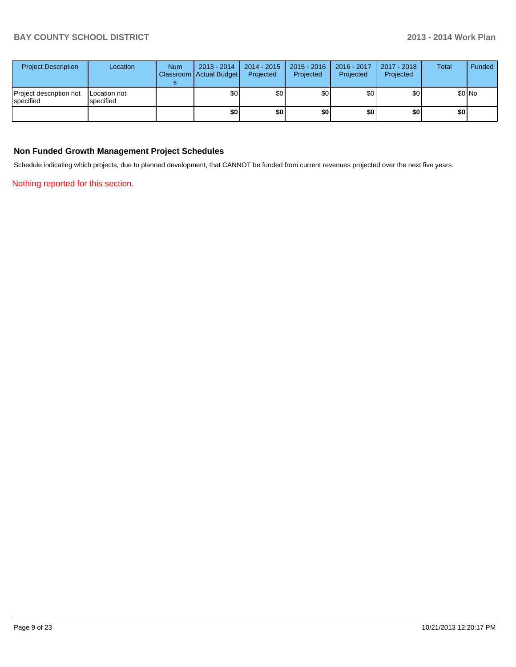| <b>Project Description</b>           | Location                         | <b>Num</b> | 2013 - 2014<br>Classroom   Actual Budget | 2014 - 2015<br>Projected | $2015 - 2016$<br>Projected | 2016 - 2017<br>Projected | 2017 - 2018<br>Projected | <b>Total</b> | Funded |
|--------------------------------------|----------------------------------|------------|------------------------------------------|--------------------------|----------------------------|--------------------------|--------------------------|--------------|--------|
| Project description not<br>specified | <b>Location not</b><br>specified |            | \$0                                      | \$٥Ι                     | \$0                        | \$٥١                     | \$0                      |              | \$0 No |
|                                      |                                  |            | \$0                                      | \$0                      | \$0                        | \$0                      | \$0                      | \$0          |        |

#### **Non Funded Growth Management Project Schedules**

Schedule indicating which projects, due to planned development, that CANNOT be funded from current revenues projected over the next five years.

Nothing reported for this section.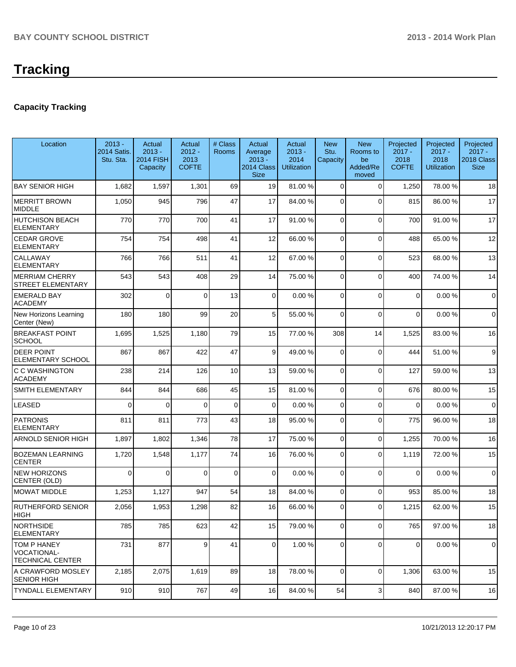# **Capacity Tracking**

| Location                                                     | $2013 -$<br><b>2014 Satis.</b><br>Stu. Sta. | Actual<br>$2013 -$<br><b>2014 FISH</b><br>Capacity | Actual<br>$2012 -$<br>2013<br><b>COFTE</b> | # Class<br><b>Rooms</b> | Actual<br>Average<br>$2013 -$<br>2014 Class<br><b>Size</b> | Actual<br>$2013 -$<br>2014<br><b>Utilization</b> | <b>New</b><br>Stu.<br>Capacity | <b>New</b><br>Rooms to<br>be<br>Added/Re<br>moved | Projected<br>$2017 -$<br>2018<br><b>COFTE</b> | Projected<br>$2017 -$<br>2018<br><b>Utilization</b> | Projected<br>$2017 -$<br>2018 Class<br><b>Size</b> |
|--------------------------------------------------------------|---------------------------------------------|----------------------------------------------------|--------------------------------------------|-------------------------|------------------------------------------------------------|--------------------------------------------------|--------------------------------|---------------------------------------------------|-----------------------------------------------|-----------------------------------------------------|----------------------------------------------------|
| <b>BAY SENIOR HIGH</b>                                       | 1,682                                       | 1,597                                              | 1,301                                      | 69                      | 19                                                         | 81.00 %                                          | $\Omega$                       | $\Omega$                                          | 1,250                                         | 78.00%                                              | 18                                                 |
| <b>MERRITT BROWN</b><br><b>MIDDLE</b>                        | 1,050                                       | 945                                                | 796                                        | 47                      | 17                                                         | 84.00 %                                          | $\Omega$                       | $\Omega$                                          | 815                                           | 86.00%                                              | 17                                                 |
| <b>HUTCHISON BEACH</b><br><b>ELEMENTARY</b>                  | 770                                         | 770                                                | 700                                        | 41                      | 17                                                         | 91.00 %                                          | $\mathbf 0$                    | $\Omega$                                          | 700                                           | 91.00%                                              | 17                                                 |
| <b>CEDAR GROVE</b><br><b>ELEMENTARY</b>                      | 754                                         | 754                                                | 498                                        | 41                      | 12                                                         | 66.00 %                                          | $\Omega$                       | $\Omega$                                          | 488                                           | 65.00 %                                             | 12                                                 |
| CALLAWAY<br><b>ELEMENTARY</b>                                | 766                                         | 766                                                | 511                                        | 41                      | 12                                                         | 67.00 %                                          | $\mathbf 0$                    | $\Omega$                                          | 523                                           | 68.00%                                              | 13                                                 |
| <b>MERRIAM CHERRY</b><br>STREET ELEMENTARY                   | 543                                         | 543                                                | 408                                        | 29                      | 14                                                         | 75.00 %                                          | $\Omega$                       | $\Omega$                                          | 400                                           | 74.00%                                              | 14                                                 |
| <b>EMERALD BAY</b><br><b>ACADEMY</b>                         | 302                                         | $\Omega$                                           | $\Omega$                                   | 13                      | 0                                                          | 0.00%                                            | $\Omega$                       | $\Omega$                                          | $\Omega$                                      | 0.00%                                               | $\mathbf 0$                                        |
| New Horizons Learning<br>Center (New)                        | 180                                         | 180                                                | 99                                         | 20                      | 5                                                          | 55.00 %                                          | $\Omega$                       | $\Omega$                                          | $\Omega$                                      | 0.00%                                               | $\mathbf 0$                                        |
| <b>BREAKFAST POINT</b><br><b>SCHOOL</b>                      | 1,695                                       | 1,525                                              | 1,180                                      | 79                      | 15                                                         | 77.00 %                                          | 308                            | 14                                                | 1,525                                         | 83.00 %                                             | 16                                                 |
| <b>DEER POINT</b><br><b>ELEMENTARY SCHOOL</b>                | 867                                         | 867                                                | 422                                        | 47                      | 9                                                          | 49.00 %                                          | $\Omega$                       | $\Omega$                                          | 444                                           | 51.00 %                                             | 9                                                  |
| C C WASHINGTON<br><b>ACADEMY</b>                             | 238                                         | 214                                                | 126                                        | 10                      | 13                                                         | 59.00 %                                          | 0                              | $\Omega$                                          | 127                                           | 59.00 %                                             | 13                                                 |
| <b>SMITH ELEMENTARY</b>                                      | 844                                         | 844                                                | 686                                        | 45                      | 15                                                         | 81.00 %                                          | $\mathbf 0$                    | $\Omega$                                          | 676                                           | 80.00%                                              | 15                                                 |
| <b>LEASED</b>                                                | $\Omega$                                    | $\Omega$                                           | $\Omega$                                   | 0                       | $\mathbf 0$                                                | 0.00 %                                           | $\mathbf 0$                    | $\Omega$                                          | $\Omega$                                      | 0.00%                                               | $\mathbf 0$                                        |
| <b>PATRONIS</b><br><b>ELEMENTARY</b>                         | 811                                         | 811                                                | 773                                        | 43                      | 18                                                         | 95.00 %                                          | $\Omega$                       | $\Omega$                                          | 775                                           | 96.00%                                              | 18                                                 |
| <b>ARNOLD SENIOR HIGH</b>                                    | 1,897                                       | 1,802                                              | 1,346                                      | 78                      | 17                                                         | 75.00 %                                          | $\mathbf 0$                    | $\Omega$                                          | 1,255                                         | 70.00%                                              | 16                                                 |
| <b>BOZEMAN LEARNING</b><br><b>CENTER</b>                     | 1,720                                       | 1,548                                              | 1,177                                      | 74                      | 16                                                         | 76.00 %                                          | $\mathbf 0$                    | $\Omega$                                          | 1,119                                         | 72.00 %                                             | 15                                                 |
| <b>NEW HORIZONS</b><br>CENTER (OLD)                          | 0                                           | $\mathbf 0$                                        | 0                                          | $\mathbf 0$             | 0                                                          | 0.00%                                            | $\mathbf 0$                    | $\Omega$                                          | 0                                             | 0.00%                                               | $\mathbf 0$                                        |
| <b>MOWAT MIDDLE</b>                                          | 1,253                                       | 1,127                                              | 947                                        | 54                      | 18                                                         | 84.00 %                                          | $\mathbf 0$                    | $\Omega$                                          | 953                                           | 85.00 %                                             | 18                                                 |
| <b>RUTHERFORD SENIOR</b><br><b>HIGH</b>                      | 2,056                                       | 1,953                                              | 1,298                                      | 82                      | 16                                                         | 66.00 %                                          | $\Omega$                       | $\Omega$                                          | 1,215                                         | 62.00%                                              | 15                                                 |
| <b>NORTHSIDE</b><br>ELEMENTARY                               | 785                                         | 785                                                | 623                                        | 42                      | 15                                                         | 79.00 %                                          | $\mathbf 0$                    | $\Omega$                                          | 765                                           | 97.00 %                                             | 18                                                 |
| <b>TOM P HANEY</b><br>VOCATIONAL-<br><b>TECHNICAL CENTER</b> | 731                                         | 877                                                | $\vert 9 \vert$                            | 41                      | $\overline{0}$                                             | 1.00 %                                           | $\mathbf 0$                    | $\Omega$                                          | $\mathbf 0$                                   | 0.00%                                               | $\mathbf 0$                                        |
| A CRAWFORD MOSLEY<br><b>SENIOR HIGH</b>                      | 2,185                                       | 2,075                                              | 1,619                                      | 89                      | 18                                                         | 78.00 %                                          | $\mathbf 0$                    | $\Omega$                                          | 1,306                                         | 63.00 %                                             | 15                                                 |
| <b>TYNDALL ELEMENTARY</b>                                    | 910                                         | 910                                                | 767                                        | 49                      | 16                                                         | 84.00 %                                          | 54                             | 3                                                 | 840                                           | 87.00%                                              | 16                                                 |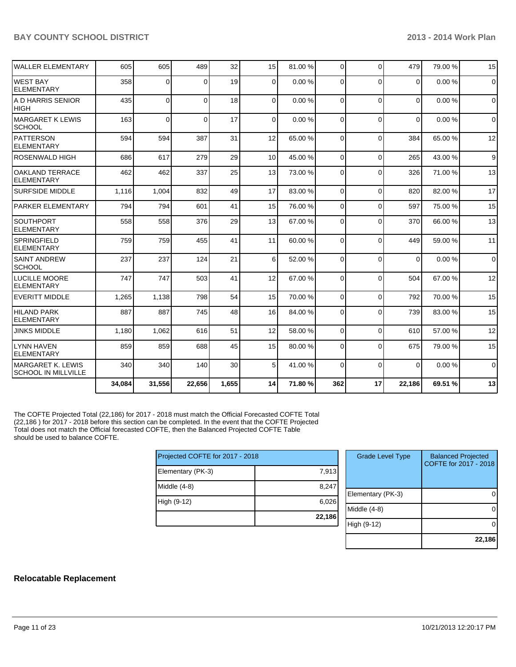| <b>WALLER ELEMENTARY</b>                                | 605    | 605          | 489      | 32    | 15              | 81.00 % | $\Omega$       | $\Omega$ | 479      | 79.00 % | 15          |
|---------------------------------------------------------|--------|--------------|----------|-------|-----------------|---------|----------------|----------|----------|---------|-------------|
| <b>WEST BAY</b><br><b>IELEMENTARY</b>                   | 358    | 0            | 0        | 19    | 0               | 0.00%   | $\Omega$       | $\Omega$ | 0        | 0.00%   | $\mathbf 0$ |
| IA D HARRIS SENIOR<br>HIGH                              | 435    | $\Omega$     | $\Omega$ | 18    | $\Omega$        | 0.00%   | $\Omega$       | $\Omega$ | $\Omega$ | 0.00%   | $\Omega$    |
| MARGARET K LEWIS<br><b>SCHOOL</b>                       | 163    | $\mathbf{0}$ | $\Omega$ | 17    | 0               | 0.00%   | $\Omega$       | $\Omega$ | $\Omega$ | 0.00%   | $\mathbf 0$ |
| IPATTERSON<br><b>ELEMENTARY</b>                         | 594    | 594          | 387      | 31    | 12              | 65.00 % | $\Omega$       | $\Omega$ | 384      | 65.00%  | 12          |
| <b>ROSENWALD HIGH</b>                                   | 686    | 617          | 279      | 29    | 10 <sup>1</sup> | 45.00 % | $\Omega$       | $\Omega$ | 265      | 43.00%  | 9           |
| <b>OAKLAND TERRACE</b><br><b>ELEMENTARY</b>             | 462    | 462          | 337      | 25    | 13              | 73.00 % | $\Omega$       | $\Omega$ | 326      | 71.00%  | 13          |
| <b>SURFSIDE MIDDLE</b>                                  | 1,116  | 1,004        | 832      | 49    | 17              | 83.00 % | $\Omega$       | $\Omega$ | 820      | 82.00%  | 17          |
| PARKER ELEMENTARY                                       | 794    | 794          | 601      | 41    | 15              | 76.00 % | $\overline{0}$ | $\Omega$ | 597      | 75.00 % | 15          |
| <b>SOUTHPORT</b><br><b>ELEMENTARY</b>                   | 558    | 558          | 376      | 29    | 13              | 67.00 % | $\Omega$       | $\Omega$ | 370      | 66.00 % | 13          |
| <b>SPRINGFIELD</b><br><b>ELEMENTARY</b>                 | 759    | 759          | 455      | 41    | 11              | 60.00 % | $\Omega$       | $\Omega$ | 449      | 59.00 % | 11          |
| <b>SAINT ANDREW</b><br><b>SCHOOL</b>                    | 237    | 237          | 124      | 21    | $6\overline{6}$ | 52.00 % | $\Omega$       | $\Omega$ | $\Omega$ | 0.00%   | $\mathbf 0$ |
| <b>LUCILLE MOORE</b><br>ELEMENTARY                      | 747    | 747          | 503      | 41    | 12              | 67.00 % | $\Omega$       | $\Omega$ | 504      | 67.00%  | 12          |
| EVERITT MIDDLE                                          | 1,265  | 1.138        | 798      | 54    | 15              | 70.00 % | $\Omega$       | $\Omega$ | 792      | 70.00%  | 15          |
| <b>HILAND PARK</b><br><b>IELEMENTARY</b>                | 887    | 887          | 745      | 48    | 16              | 84.00 % | 0              | $\Omega$ | 739      | 83.00 % | 15          |
| <b>JINKS MIDDLE</b>                                     | 1,180  | 1,062        | 616      | 51    | 12              | 58.00 % | $\Omega$       | $\Omega$ | 610      | 57.00 % | 12          |
| LYNN HAVEN<br><b>ELEMENTARY</b>                         | 859    | 859          | 688      | 45    | 15              | 80.00 % | $\Omega$       | $\Omega$ | 675      | 79.00 % | 15          |
| <b>IMARGARET K. LEWIS</b><br><b>SCHOOL IN MILLVILLE</b> | 340    | 340          | 140      | 30    | 5 <sup>1</sup>  | 41.00 % | $\Omega$       | $\Omega$ | $\Omega$ | 0.00%   | $\mathbf 0$ |
|                                                         | 34,084 | 31,556       | 22,656   | 1,655 | 14              | 71.80 % | 362            | 17       | 22,186   | 69.51 % | 13          |

The COFTE Projected Total (22,186) for 2017 - 2018 must match the Official Forecasted COFTE Total (22,186 ) for 2017 - 2018 before this section can be completed. In the event that the COFTE Projected Total does not match the Official forecasted COFTE, then the Balanced Projected COFTE Table should be used to balance COFTE.

| Projected COFTE for 2017 - 2018 |        |
|---------------------------------|--------|
| Elementary (PK-3)               | 7,913  |
| Middle $(4-8)$                  | 8,247  |
| High (9-12)                     | 6,026  |
|                                 | 22,186 |

| <b>Grade Level Type</b> | <b>Balanced Projected</b><br>COFTE for 2017 - 2018 |
|-------------------------|----------------------------------------------------|
| Elementary (PK-3)       |                                                    |
| Middle (4-8)            |                                                    |
| High (9-12)             |                                                    |
|                         | 22,186                                             |

## **Relocatable Replacement**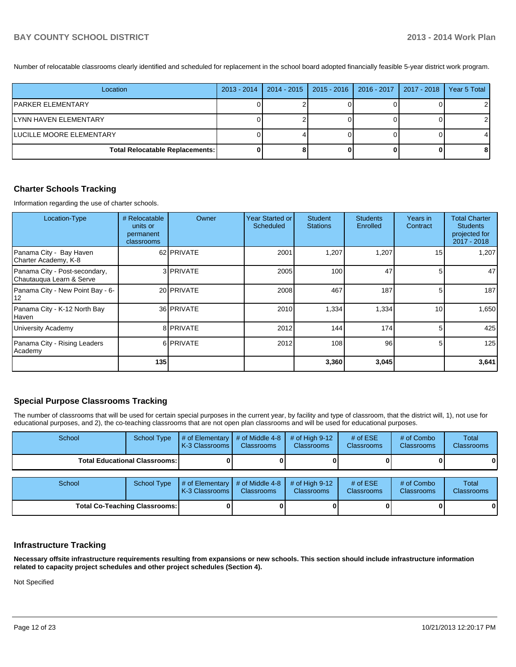Number of relocatable classrooms clearly identified and scheduled for replacement in the school board adopted financially feasible 5-year district work program.

| Location                               | 2013 - 2014   2014 - 2015 | $2015 - 2016$ | $ 2016 - 2017 $ | 2017 - 2018 | Year 5 Total |
|----------------------------------------|---------------------------|---------------|-----------------|-------------|--------------|
| IPARKER ELEMENTARY                     |                           |               |                 |             |              |
| LYNN HAVEN ELEMENTARY                  |                           |               |                 |             |              |
| LUCILLE MOORE ELEMENTARY               |                           |               |                 |             |              |
| <b>Total Relocatable Replacements:</b> |                           |               |                 |             |              |

#### **Charter Schools Tracking**

Information regarding the use of charter schools.

| Location-Type                                             | # Relocatable<br>units or<br>permanent<br>classrooms | Owner             | Year Started or<br>Scheduled | <b>Student</b><br><b>Stations</b> | <b>Students</b><br>Enrolled | Years in<br>Contract | <b>Total Charter</b><br><b>Students</b><br>projected for<br>2017 - 2018 |
|-----------------------------------------------------------|------------------------------------------------------|-------------------|------------------------------|-----------------------------------|-----------------------------|----------------------|-------------------------------------------------------------------------|
| Panama City - Bay Haven<br>Charter Academy, K-8           |                                                      | 62 PRIVATE        | 2001                         | 1,207                             | 1,207                       | 15 <sup>1</sup>      | 1.207                                                                   |
| Panama City - Post-secondary,<br>Chautauqua Learn & Serve |                                                      | 3 PRIVATE         | 2005                         | 100                               | 47                          | 51                   | 47                                                                      |
| Panama City - New Point Bay - 6-<br>12                    |                                                      | 20 <b>PRIVATE</b> | 2008                         | 467                               | 187                         | 5 <sub>l</sub>       | 187                                                                     |
| Panama City - K-12 North Bay<br>Haven                     |                                                      | 36 PRIVATE        | 2010                         | 1,334                             | 1,334                       | 10 <sup>1</sup>      | 1,650                                                                   |
| <b>University Academy</b>                                 |                                                      | 8 PRIVATE         | 2012                         | 144                               | 174                         | 5                    | 425                                                                     |
| Panama City - Rising Leaders<br>Academy                   |                                                      | 6 PRIVATE         | 2012                         | 108                               | 96                          | 51                   | 125                                                                     |
|                                                           | 135                                                  |                   |                              | 3,360                             | 3,045                       |                      | 3,641                                                                   |

## **Special Purpose Classrooms Tracking**

The number of classrooms that will be used for certain special purposes in the current year, by facility and type of classroom, that the district will, 1), not use for educational purposes, and 2), the co-teaching classrooms that are not open plan classrooms and will be used for educational purposes.

| School                               | <b>School Type</b> | # of Elementary $\vert$<br>K-3 Classrooms | # of Middle 4-8<br><b>Classrooms</b> | # of High $9-12$<br><b>Classrooms</b> | # of $ESE$<br>Classrooms | # of Combo<br><b>Classrooms</b> | Total<br><b>Classrooms</b> |
|--------------------------------------|--------------------|-------------------------------------------|--------------------------------------|---------------------------------------|--------------------------|---------------------------------|----------------------------|
| <b>Total Educational Classrooms:</b> |                    |                                           |                                      |                                       |                          |                                 | 01                         |
| School                               | <b>School Type</b> | # of Elementary $\vert$                   | # of Middle 4-8                      | # of High $9-12$                      | # of $ESE$               | # of Combo                      | Total                      |
|                                      |                    | K-3 Classrooms                            | <b>Classrooms</b>                    | <b>Classrooms</b>                     | Classrooms               | <b>Classrooms</b>               | <b>Classrooms</b>          |
| <b>Total Co-Teaching Classrooms:</b> |                    |                                           |                                      |                                       |                          |                                 | 01                         |

#### **Infrastructure Tracking**

**Necessary offsite infrastructure requirements resulting from expansions or new schools. This section should include infrastructure information related to capacity project schedules and other project schedules (Section 4).**

Not Specified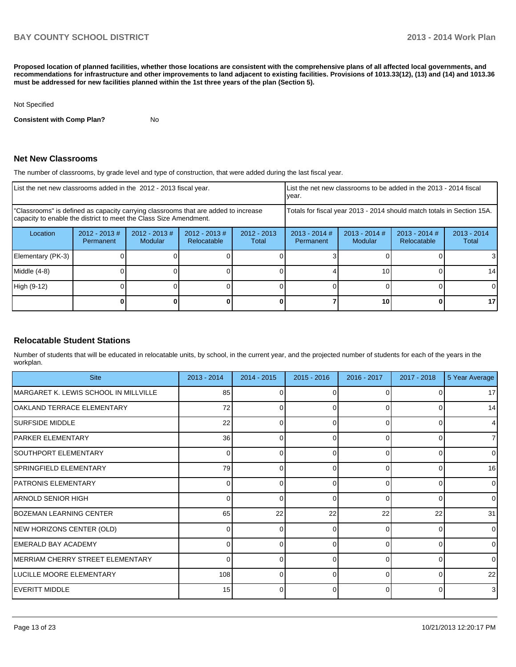**Proposed location of planned facilities, whether those locations are consistent with the comprehensive plans of all affected local governments, and recommendations for infrastructure and other improvements to land adjacent to existing facilities. Provisions of 1013.33(12), (13) and (14) and 1013.36 must be addressed for new facilities planned within the 1st three years of the plan (Section 5).**

#### Not Specified

**Consistent with Comp Plan?** No

#### **Net New Classrooms**

The number of classrooms, by grade level and type of construction, that were added during the last fiscal year.

|                                                                                                                                                         | List the net new classrooms added in the 2012 - 2013 fiscal year. |                                   |                                | List the net new classrooms to be added in the 2013 - 2014 fiscal<br>year. |                              |                            |                                |                        |
|---------------------------------------------------------------------------------------------------------------------------------------------------------|-------------------------------------------------------------------|-----------------------------------|--------------------------------|----------------------------------------------------------------------------|------------------------------|----------------------------|--------------------------------|------------------------|
| "Classrooms" is defined as capacity carrying classrooms that are added to increase<br>capacity to enable the district to meet the Class Size Amendment. |                                                                   |                                   |                                | Totals for fiscal year 2013 - 2014 should match totals in Section 15A.     |                              |                            |                                |                        |
| Location                                                                                                                                                | $2012 - 2013$ #<br>Permanent                                      | $2012 - 2013$ #<br><b>Modular</b> | $2012 - 2013$ #<br>Relocatable | $2012 - 2013$<br>Total                                                     | $2013 - 2014$ #<br>Permanent | $2013 - 2014$ #<br>Modular | $2013 - 2014$ #<br>Relocatable | $2013 - 2014$<br>Total |
| Elementary (PK-3)                                                                                                                                       |                                                                   |                                   |                                |                                                                            |                              |                            |                                |                        |
| Middle (4-8)                                                                                                                                            |                                                                   |                                   |                                |                                                                            |                              | 10                         |                                | 14                     |
| High (9-12)                                                                                                                                             |                                                                   |                                   |                                |                                                                            |                              |                            |                                | 0                      |
|                                                                                                                                                         |                                                                   |                                   |                                |                                                                            |                              | 10                         |                                | 17                     |

#### **Relocatable Student Stations**

Number of students that will be educated in relocatable units, by school, in the current year, and the projected number of students for each of the years in the workplan.

| <b>Site</b>                           | $2013 - 2014$ | $2014 - 2015$ | $2015 - 2016$ | 2016 - 2017 | 2017 - 2018 | 5 Year Average |
|---------------------------------------|---------------|---------------|---------------|-------------|-------------|----------------|
| MARGARET K. LEWIS SCHOOL IN MILLVILLE | 85            |               |               |             |             | 17             |
| OAKLAND TERRACE ELEMENTARY            | 72            | 0             | 0             | $\Omega$    | 0           | 14             |
| <b>SURFSIDE MIDDLE</b>                | 22            | ⋂             | ∩             | $\cap$      | $\Omega$    | $\overline{4}$ |
| <b>PARKER ELEMENTARY</b>              | 36            | 0             | 0             | $\Omega$    | 0           | $\overline{7}$ |
| SOUTHPORT ELEMENTARY                  | 0             | ሰ             | ∩             | $\cap$      | $\Omega$    | $\Omega$       |
| SPRINGFIELD ELEMENTARY                | 79            | 0             | 0             | $\Omega$    | 0           | 16             |
| <b>PATRONIS ELEMENTARY</b>            |               | ⋂             | ∩             | U           | $\Omega$    | $\Omega$       |
| IARNOLD SENIOR HIGH                   | $\Omega$      | 0             | 0             | $\Omega$    | $\Omega$    | $\overline{0}$ |
| BOZEMAN LEARNING CENTER               | 65            | 22            | 22            | 22          | 22          | 31             |
| NEW HORIZONS CENTER (OLD)             | $\Omega$      | 0             | 0             | $\Omega$    | $\Omega$    | $\overline{0}$ |
| <b>EMERALD BAY ACADEMY</b>            |               |               |               | U           | $\Omega$    | $\Omega$       |
| MERRIAM CHERRY STREET ELEMENTARY      | $\Omega$      | 0             | 0             | $\Omega$    | 0           | $\Omega$       |
| LUCILLE MOORE ELEMENTARY              | 108           |               |               |             | $\Omega$    | 22             |
| <b>IEVERITT MIDDLE</b>                | 15            | 0             | O             | $\Omega$    | 0           | 3              |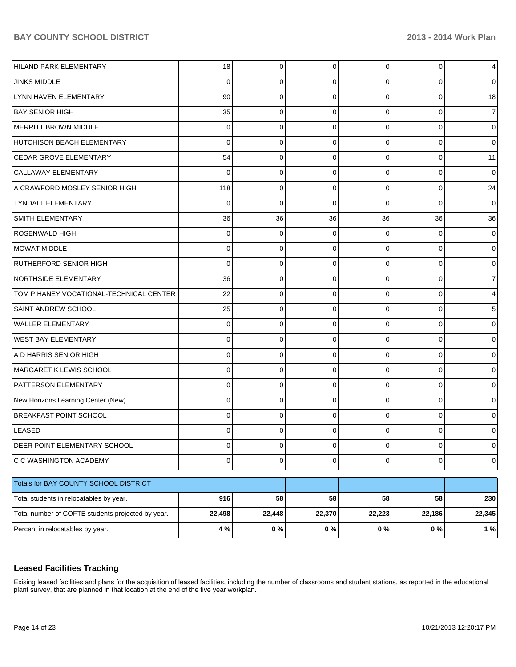| HILAND PARK ELEMENTARY                            | 18             | 0           | $\Omega$ | $\Omega$       | 0           | $\overline{4}$ |
|---------------------------------------------------|----------------|-------------|----------|----------------|-------------|----------------|
| <b>JINKS MIDDLE</b>                               | 0              | 0           | 0        | 0              | 0           | $\overline{0}$ |
| LYNN HAVEN ELEMENTARY                             | 90             | 0           | 0        | $\Omega$       | 0           | 18             |
| <b>IBAY SENIOR HIGH</b>                           | 35             | 0           | 0        | $\Omega$       | 0           | 7 <sup>1</sup> |
| <b>MERRITT BROWN MIDDLE</b>                       | 0              | 0           | 0        | $\Omega$       | 0           | $\overline{0}$ |
| HUTCHISON BEACH ELEMENTARY                        | 0              | 0           | 0        | $\Omega$       | 0           | $\overline{0}$ |
| <b>CEDAR GROVE ELEMENTARY</b>                     | 54             | 0           | 0        | $\Omega$       | 0           | 11             |
| CALLAWAY ELEMENTARY                               | 0              | 0           | 0        | $\Omega$       | 0           | $\overline{0}$ |
| A CRAWFORD MOSLEY SENIOR HIGH                     | 118            | 0           | 0        | $\Omega$       | 0           | 24             |
| <b>TYNDALL ELEMENTARY</b>                         | $\Omega$       | $\mathbf 0$ | 0        | $\Omega$       | 0           | $\overline{0}$ |
| <b>SMITH ELEMENTARY</b>                           | 36             | 36          | 36       | 36             | 36          | 36             |
| <b>ROSENWALD HIGH</b>                             | 0              | 0           | 0        | $\Omega$       | 0           | $\overline{0}$ |
| MOWAT MIDDLE                                      | 0              | 0           | 0        | $\Omega$       | 0           | $\overline{0}$ |
| <b>RUTHERFORD SENIOR HIGH</b>                     | 0              | 0           | 0        | $\Omega$       | 0           | $\overline{0}$ |
| NORTHSIDE ELEMENTARY                              | 36             | 0           | O        | $\Omega$       | 0           | $\overline{7}$ |
| TOM P HANEY VOCATIONAL-TECHNICAL CENTER           | 22             | 0           | 0        | $\Omega$       | 0           | 4              |
| <b>SAINT ANDREW SCHOOL</b>                        | 25             | 0           | 0        | $\Omega$       | 0           | 5              |
| <b>WALLER ELEMENTARY</b>                          | 0              | 0           | 0        | $\Omega$       | 0           | $\overline{0}$ |
| <b>WEST BAY ELEMENTARY</b>                        | 0              | 0           | O        | $\Omega$       | 0           | $\overline{0}$ |
| A D HARRIS SENIOR HIGH                            | 0              | 0           | 0        | $\Omega$       | 0           | $\overline{0}$ |
| MARGARET K LEWIS SCHOOL                           | 0              | 0           | 0        | $\Omega$       | 0           | $\overline{0}$ |
| <b>PATTERSON ELEMENTARY</b>                       | 0              | 0           | 0        | $\Omega$       | 0           | $\overline{0}$ |
| New Horizons Learning Center (New)                | 0              | 0           | $\Omega$ | $\Omega$       | 0           | $\overline{0}$ |
| <b>BREAKFAST POINT SCHOOL</b>                     | 0              | 0           | 0        | $\Omega$       | 0           | $\overline{0}$ |
| LEASED                                            | 0              | 0           |          | 0              | 0           | 0              |
| DEER POINT ELEMENTARY SCHOOL                      | $\overline{0}$ | $\mathbf 0$ | 0        | $\overline{0}$ | $\mathbf 0$ | $\overline{0}$ |
| C C WASHINGTON ACADEMY                            | $\overline{0}$ | $\mathbf 0$ | 0        | $\overline{0}$ | $\mathbf 0$ | $\overline{O}$ |
| Totals for BAY COUNTY SCHOOL DISTRICT             |                |             |          |                |             |                |
| Total students in relocatables by year.           | 916            | 58          | 58       | 58             | 58          | 230            |
| Total number of COFTE students projected by year. | 22,498         | 22,448      | 22,370   | 22,223         | 22,186      | 22,345         |
| Percent in relocatables by year.                  | 4 %            | 0%          | 0%       | 0%             | $0\ \%$     | 1%             |
|                                                   |                |             |          |                |             |                |

# **Leased Facilities Tracking**

Exising leased facilities and plans for the acquisition of leased facilities, including the number of classrooms and student stations, as reported in the educational plant survey, that are planned in that location at the end of the five year workplan.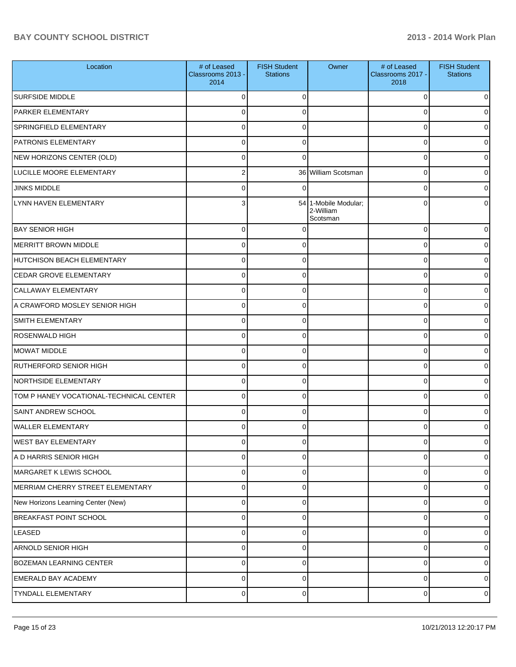| Location                                | # of Leased<br>Classrooms 2013 -<br>2014 | <b>FISH Student</b><br><b>Stations</b> | Owner                                         | # of Leased<br>Classrooms 2017 -<br>2018 | <b>FISH Student</b><br><b>Stations</b> |
|-----------------------------------------|------------------------------------------|----------------------------------------|-----------------------------------------------|------------------------------------------|----------------------------------------|
| <b>SURFSIDE MIDDLE</b>                  | $\Omega$                                 | $\Omega$                               |                                               | 0                                        | 0                                      |
| PARKER ELEMENTARY                       | $\Omega$                                 | 0                                      |                                               | 0                                        | 0                                      |
| SPRINGFIELD ELEMENTARY                  | $\Omega$                                 | 0                                      |                                               | 0                                        | 0                                      |
| PATRONIS ELEMENTARY                     | $\mathbf 0$                              | 0                                      |                                               | 0                                        | 0                                      |
| NEW HORIZONS CENTER (OLD)               | $\Omega$                                 | 0                                      |                                               | 0                                        | 0                                      |
| LUCILLE MOORE ELEMENTARY                | $\overline{2}$                           |                                        | 36 William Scotsman                           | 0                                        | 0                                      |
| <b>JINKS MIDDLE</b>                     | $\Omega$                                 | 0                                      |                                               | 0                                        | 0                                      |
| LYNN HAVEN ELEMENTARY                   | 3                                        |                                        | 54 1-Mobile Modular;<br>2-William<br>Scotsman | 0                                        | 0                                      |
| <b>BAY SENIOR HIGH</b>                  | 0                                        |                                        |                                               | 0                                        | 0                                      |
| MERRITT BROWN MIDDLE                    | $\Omega$                                 | 0                                      |                                               | 0                                        | 0                                      |
| HUTCHISON BEACH ELEMENTARY              | $\Omega$                                 | 0                                      |                                               | 0                                        | 0                                      |
| <b>CEDAR GROVE ELEMENTARY</b>           | 0                                        | 0                                      |                                               | 0                                        | 0                                      |
| <b>CALLAWAY ELEMENTARY</b>              | $\Omega$                                 | 0                                      |                                               | 0                                        | 0                                      |
| A CRAWFORD MOSLEY SENIOR HIGH           | 0                                        | 0                                      |                                               | 0                                        | 0                                      |
| <b>SMITH ELEMENTARY</b>                 | 0                                        | 0                                      |                                               | 0                                        | 0                                      |
| <b>ROSENWALD HIGH</b>                   | 0                                        | 0                                      |                                               | 0                                        | 0                                      |
| MOWAT MIDDLE                            | 0                                        | 0                                      |                                               | 0                                        | 0                                      |
| <b>RUTHERFORD SENIOR HIGH</b>           | 0                                        | 0                                      |                                               | 0                                        | 0                                      |
| <b>NORTHSIDE ELEMENTARY</b>             | 0                                        | $\Omega$                               |                                               | 0                                        | 0                                      |
| TOM P HANEY VOCATIONAL-TECHNICAL CENTER | 0                                        | 0                                      |                                               | 0                                        | 01                                     |
| <b>SAINT ANDREW SCHOOL</b>              | 0                                        | $\Omega$                               |                                               | 0                                        | 01                                     |
| WALLER ELEMENTARY                       | 0                                        | 0                                      |                                               | 0                                        | 01                                     |
| <b>WEST BAY ELEMENTARY</b>              | $\overline{0}$                           | $\overline{0}$                         |                                               | $\overline{0}$                           | $\circ$                                |
| A D HARRIS SENIOR HIGH                  | 0                                        | 0                                      |                                               | 0                                        | $\overline{0}$                         |
| MARGARET K LEWIS SCHOOL                 | $\mathbf 0$                              | 0                                      |                                               | 0                                        | $\overline{0}$                         |
| MERRIAM CHERRY STREET ELEMENTARY        | $\mathbf 0$                              | 0                                      |                                               | 0                                        | $\overline{0}$                         |
| New Horizons Learning Center (New)      | $\mathbf 0$                              | 0                                      |                                               | 0                                        | $\overline{0}$                         |
| <b>BREAKFAST POINT SCHOOL</b>           | $\mathbf 0$                              | $\Omega$                               |                                               | 0                                        | $\overline{0}$                         |
| <b>LEASED</b>                           | $\mathbf 0$                              | $\Omega$                               |                                               | 0                                        | $\overline{0}$                         |
| ARNOLD SENIOR HIGH                      | $\mathbf 0$                              | 0                                      |                                               | 0                                        | $\overline{0}$                         |
| <b>BOZEMAN LEARNING CENTER</b>          | $\mathbf 0$                              | 0                                      |                                               | 0                                        | $\overline{0}$                         |
| <b>EMERALD BAY ACADEMY</b>              | $\mathbf 0$                              | $\Omega$                               |                                               | 0                                        | $\overline{0}$                         |
| TYNDALL ELEMENTARY                      | $\pmb{0}$                                | 0                                      |                                               | 0                                        | $\circ$                                |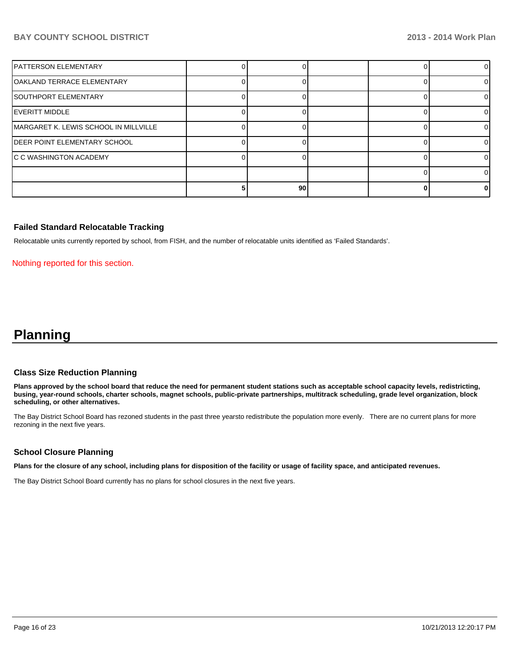| IPATTERSON ELEMENTARY                 |    |  |    |
|---------------------------------------|----|--|----|
| OAKLAND TERRACE ELEMENTARY            |    |  |    |
| SOUTHPORT ELEMENTARY                  |    |  |    |
| IEVERITT MIDDLE                       |    |  | 0  |
| MARGARET K. LEWIS SCHOOL IN MILLVILLE |    |  | 0  |
| IDEER POINT ELEMENTARY SCHOOL         |    |  | ΩI |
| IC C WASHINGTON ACADEMY               |    |  |    |
|                                       |    |  |    |
|                                       | 90 |  | o  |

#### **Failed Standard Relocatable Tracking**

Relocatable units currently reported by school, from FISH, and the number of relocatable units identified as 'Failed Standards'.

Nothing reported for this section.

# **Planning**

#### **Class Size Reduction Planning**

**Plans approved by the school board that reduce the need for permanent student stations such as acceptable school capacity levels, redistricting, busing, year-round schools, charter schools, magnet schools, public-private partnerships, multitrack scheduling, grade level organization, block scheduling, or other alternatives.**

The Bay District School Board has rezoned students in the past three yearsto redistribute the population more evenly. There are no current plans for more rezoning in the next five years.

#### **School Closure Planning**

**Plans for the closure of any school, including plans for disposition of the facility or usage of facility space, and anticipated revenues.**

The Bay District School Board currently has no plans for school closures in the next five years.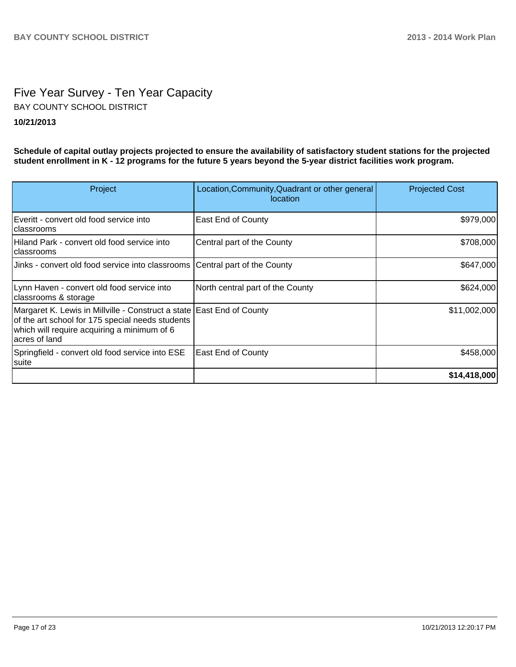# Five Year Survey - Ten Year Capacity **10/21/2013** BAY COUNTY SCHOOL DISTRICT

**Schedule of capital outlay projects projected to ensure the availability of satisfactory student stations for the projected student enrollment in K - 12 programs for the future 5 years beyond the 5-year district facilities work program.**

| Project                                                                                                                                                                                   | Location, Community, Quadrant or other general<br>location | <b>Projected Cost</b> |
|-------------------------------------------------------------------------------------------------------------------------------------------------------------------------------------------|------------------------------------------------------------|-----------------------|
| Everitt - convert old food service into<br>Iclassrooms                                                                                                                                    | <b>East End of County</b>                                  | \$979,000             |
| Hiland Park - convert old food service into<br>Iclassrooms                                                                                                                                | Central part of the County                                 | \$708,000             |
| Jinks - convert old food service into classrooms Central part of the County                                                                                                               |                                                            | \$647,000             |
| Lynn Haven - convert old food service into<br>classrooms & storage                                                                                                                        | North central part of the County                           | \$624,000             |
| Margaret K. Lewis in Millville - Construct a state East End of County<br>of the art school for 175 special needs students<br>which will require acquiring a minimum of 6<br>acres of land |                                                            | \$11,002,000          |
| Springfield - convert old food service into ESE<br> suite                                                                                                                                 | <b>East End of County</b>                                  | \$458,000             |
|                                                                                                                                                                                           |                                                            | \$14,418,000          |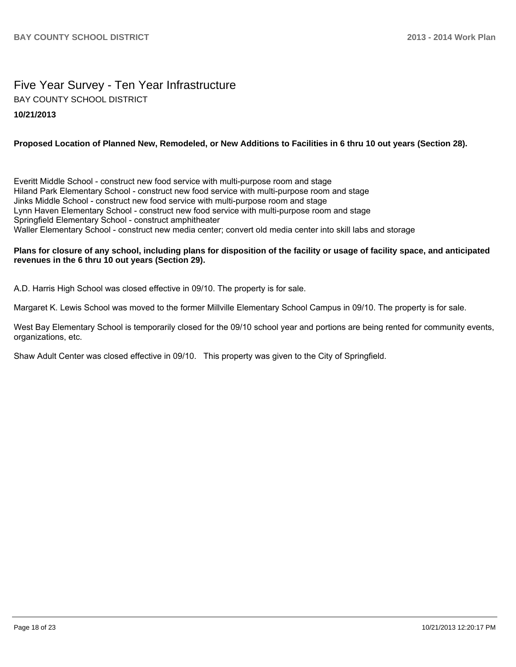# Five Year Survey - Ten Year Infrastructure **10/21/2013** BAY COUNTY SCHOOL DISTRICT

## **Proposed Location of Planned New, Remodeled, or New Additions to Facilities in 6 thru 10 out years (Section 28).**

Everitt Middle School - construct new food service with multi-purpose room and stage Hiland Park Elementary School - construct new food service with multi-purpose room and stage Jinks Middle School - construct new food service with multi-purpose room and stage Lynn Haven Elementary School - construct new food service with multi-purpose room and stage Springfield Elementary School - construct amphitheater Waller Elementary School - construct new media center; convert old media center into skill labs and storage

#### **Plans for closure of any school, including plans for disposition of the facility or usage of facility space, and anticipated revenues in the 6 thru 10 out years (Section 29).**

A.D. Harris High School was closed effective in 09/10. The property is for sale.

Margaret K. Lewis School was moved to the former Millville Elementary School Campus in 09/10. The property is for sale.

West Bay Elementary School is temporarily closed for the 09/10 school year and portions are being rented for community events. organizations, etc.

Shaw Adult Center was closed effective in 09/10. This property was given to the City of Springfield.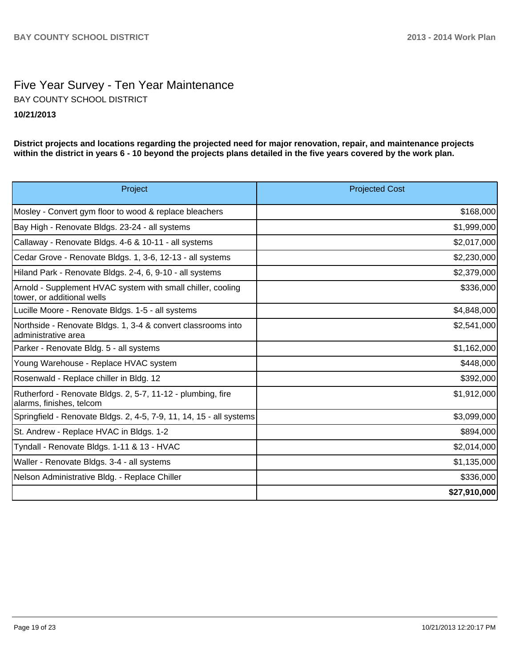# Five Year Survey - Ten Year Maintenance **10/21/2013** BAY COUNTY SCHOOL DISTRICT

**District projects and locations regarding the projected need for major renovation, repair, and maintenance projects within the district in years 6 - 10 beyond the projects plans detailed in the five years covered by the work plan.**

| Project                                                                                   | <b>Projected Cost</b> |
|-------------------------------------------------------------------------------------------|-----------------------|
| Mosley - Convert gym floor to wood & replace bleachers                                    | \$168,000             |
| Bay High - Renovate Bldgs. 23-24 - all systems                                            | \$1,999,000           |
| Callaway - Renovate Bldgs. 4-6 & 10-11 - all systems                                      | \$2,017,000           |
| Cedar Grove - Renovate Bldgs. 1, 3-6, 12-13 - all systems                                 | \$2,230,000           |
| Hiland Park - Renovate Bldgs. 2-4, 6, 9-10 - all systems                                  | \$2,379,000           |
| Arnold - Supplement HVAC system with small chiller, cooling<br>tower, or additional wells | \$336,000             |
| Lucille Moore - Renovate Bldgs. 1-5 - all systems                                         | \$4,848,000           |
| Northside - Renovate Bldgs. 1, 3-4 & convert classrooms into<br>ladministrative area      | \$2,541,000           |
| Parker - Renovate Bldg. 5 - all systems                                                   | \$1,162,000           |
| Young Warehouse - Replace HVAC system                                                     | \$448,000             |
| Rosenwald - Replace chiller in Bldg. 12                                                   | \$392,000             |
| Rutherford - Renovate Bldgs. 2, 5-7, 11-12 - plumbing, fire<br>alarms, finishes, telcom   | \$1,912,000           |
| Springfield - Renovate Bldgs. 2, 4-5, 7-9, 11, 14, 15 - all systems                       | \$3,099,000           |
| St. Andrew - Replace HVAC in Bldgs. 1-2                                                   | \$894,000             |
| Tyndall - Renovate Bldgs. 1-11 & 13 - HVAC                                                | \$2,014,000           |
| Waller - Renovate Bldgs. 3-4 - all systems                                                | \$1,135,000           |
| Nelson Administrative Bldg. - Replace Chiller                                             | \$336,000             |
|                                                                                           | \$27,910,000          |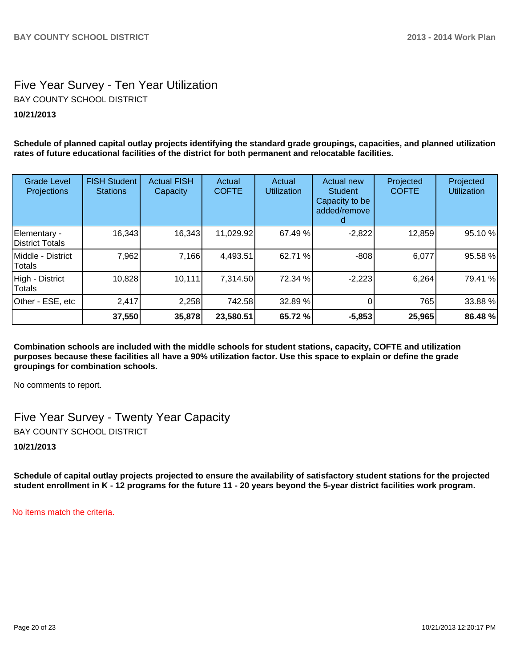# Five Year Survey - Ten Year Utilization BAY COUNTY SCHOOL DISTRICT

# **10/21/2013**

**Schedule of planned capital outlay projects identifying the standard grade groupings, capacities, and planned utilization rates of future educational facilities of the district for both permanent and relocatable facilities.**

| <b>Grade Level</b><br>Projections | <b>FISH Student</b><br><b>Stations</b> | <b>Actual FISH</b><br>Capacity | Actual<br><b>COFTE</b> | Actual<br><b>Utilization</b> | Actual new<br><b>Student</b><br>Capacity to be<br>added/remove | Projected<br><b>COFTE</b> | Projected<br><b>Utilization</b> |
|-----------------------------------|----------------------------------------|--------------------------------|------------------------|------------------------------|----------------------------------------------------------------|---------------------------|---------------------------------|
| Elementary -<br>District Totals   | 16,343                                 | 16,343                         | 11,029.92              | 67.49 %                      | $-2,822$                                                       | 12,859                    | 95.10 %                         |
| IMiddle - District<br>Totals      | 7,962                                  | 7,166                          | 4,493.51               | 62.71 %                      | $-808$                                                         | 6,077                     | 95.58 %                         |
| High - District<br>Totals         | 10,828                                 | 10,111                         | 7,314.50               | 72.34 %                      | $-2,223$                                                       | 6,264                     | 79.41 %                         |
| Other - ESE, etc                  | 2,417                                  | 2,258                          | 742.58                 | 32.89 %                      |                                                                | 765                       | 33.88 %                         |
|                                   | 37,550                                 | 35,878                         | 23,580.51              | 65.72 %                      | $-5,853$                                                       | 25,965                    | 86.48 %                         |

**Combination schools are included with the middle schools for student stations, capacity, COFTE and utilization purposes because these facilities all have a 90% utilization factor. Use this space to explain or define the grade groupings for combination schools.**

No comments to report.

Five Year Survey - Twenty Year Capacity BAY COUNTY SCHOOL DISTRICT

**10/21/2013**

**Schedule of capital outlay projects projected to ensure the availability of satisfactory student stations for the projected student enrollment in K - 12 programs for the future 11 - 20 years beyond the 5-year district facilities work program.**

No items match the criteria.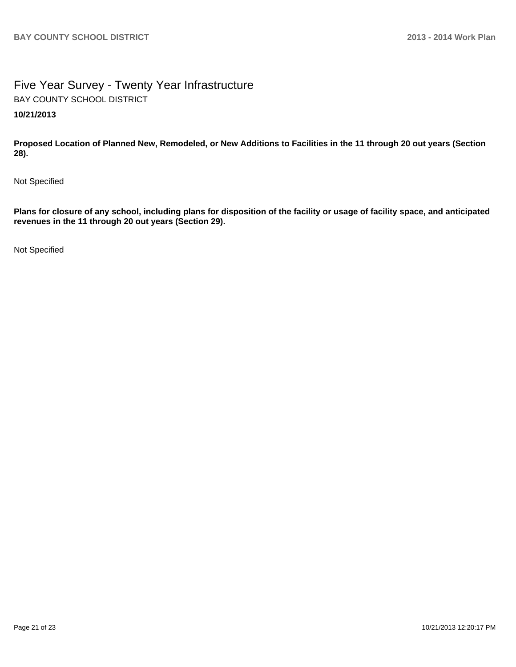# Five Year Survey - Twenty Year Infrastructure **10/21/2013** BAY COUNTY SCHOOL DISTRICT

**Proposed Location of Planned New, Remodeled, or New Additions to Facilities in the 11 through 20 out years (Section 28).**

Not Specified

**Plans for closure of any school, including plans for disposition of the facility or usage of facility space, and anticipated revenues in the 11 through 20 out years (Section 29).**

Not Specified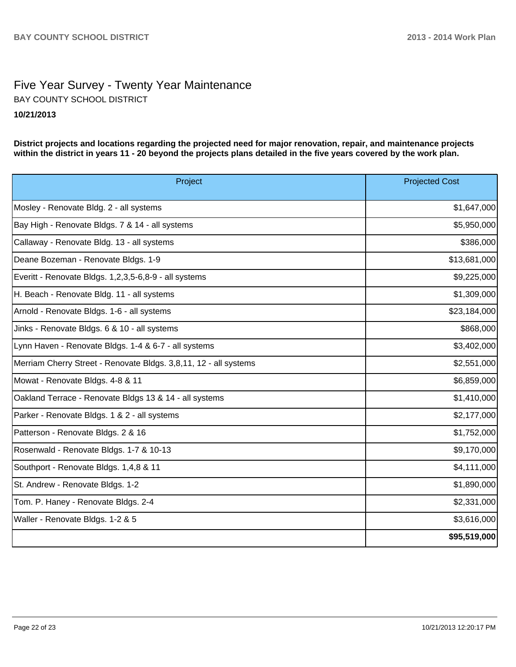# Five Year Survey - Twenty Year Maintenance **10/21/2013** BAY COUNTY SCHOOL DISTRICT

**District projects and locations regarding the projected need for major renovation, repair, and maintenance projects within the district in years 11 - 20 beyond the projects plans detailed in the five years covered by the work plan.**

| Project                                                          | <b>Projected Cost</b> |
|------------------------------------------------------------------|-----------------------|
| Mosley - Renovate Bldg. 2 - all systems                          | \$1,647,000           |
| Bay High - Renovate Bldgs. 7 & 14 - all systems                  | \$5,950,000           |
| Callaway - Renovate Bldg. 13 - all systems                       | \$386,000             |
| Deane Bozeman - Renovate Bldgs. 1-9                              | \$13,681,000          |
| Everitt - Renovate Bldgs. 1,2,3,5-6,8-9 - all systems            | \$9,225,000           |
| H. Beach - Renovate Bldg. 11 - all systems                       | \$1,309,000           |
| Arnold - Renovate Bldgs. 1-6 - all systems                       | \$23,184,000          |
| Jinks - Renovate Bldgs. 6 & 10 - all systems                     | \$868,000             |
| Lynn Haven - Renovate Bldgs. 1-4 & 6-7 - all systems             | \$3,402,000           |
| Merriam Cherry Street - Renovate Bldgs. 3,8,11, 12 - all systems | \$2,551,000           |
| Mowat - Renovate Bldgs. 4-8 & 11                                 | \$6,859,000           |
| Oakland Terrace - Renovate Bldgs 13 & 14 - all systems           | \$1,410,000           |
| Parker - Renovate Bldgs. 1 & 2 - all systems                     | \$2,177,000           |
| Patterson - Renovate Bldgs. 2 & 16                               | \$1,752,000           |
| Rosenwald - Renovate Bldgs. 1-7 & 10-13                          | \$9,170,000           |
| Southport - Renovate Bldgs. 1,4,8 & 11                           | \$4,111,000           |
| St. Andrew - Renovate Bldgs. 1-2                                 | \$1,890,000           |
| Tom. P. Haney - Renovate Bldgs. 2-4                              | \$2,331,000           |
| Waller - Renovate Bldgs. 1-2 & 5                                 | \$3,616,000           |
|                                                                  | \$95,519,000          |